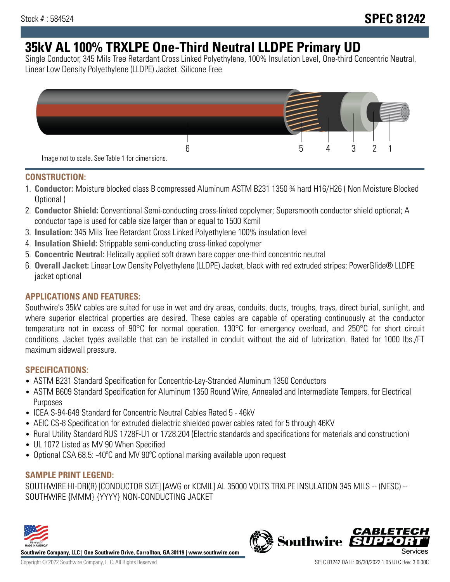# **35kV AL 100% TRXLPE One-Third Neutral LLDPE Primary UD**

Single Conductor, 345 Mils Tree Retardant Cross Linked Polyethylene, 100% Insulation Level, One-third Concentric Neutral, Linear Low Density Polyethylene (LLDPE) Jacket. Silicone Free



### **CONSTRUCTION:**

- 1. **Conductor:** Moisture blocked class B compressed Aluminum ASTM B231 1350 ¾ hard H16/H26 ( Non Moisture Blocked Optional )
- 2. **Conductor Shield:** Conventional Semi-conducting cross-linked copolymer; Supersmooth conductor shield optional; A conductor tape is used for cable size larger than or equal to 1500 Kcmil
- 3. **Insulation:** 345 Mils Tree Retardant Cross Linked Polyethylene 100% insulation level
- 4. **Insulation Shield:** Strippable semi-conducting cross-linked copolymer
- 5. **Concentric Neutral:** Helically applied soft drawn bare copper one-third concentric neutral
- 6. **Overall Jacket:** Linear Low Density Polyethylene (LLDPE) Jacket, black with red extruded stripes; PowerGlide® LLDPE jacket optional

## **APPLICATIONS AND FEATURES:**

Southwire's 35kV cables are suited for use in wet and dry areas, conduits, ducts, troughs, trays, direct burial, sunlight, and where superior electrical properties are desired. These cables are capable of operating continuously at the conductor temperature not in excess of 90°C for normal operation. 130°C for emergency overload, and 250°C for short circuit conditions. Jacket types available that can be installed in conduit without the aid of lubrication. Rated for 1000 lbs./FT maximum sidewall pressure.

## **SPECIFICATIONS:**

- ASTM B231 Standard Specification for Concentric-Lay-Stranded Aluminum 1350 Conductors
- ASTM B609 Standard Specification for Aluminum 1350 Round Wire, Annealed and Intermediate Tempers, for Electrical Purposes
- ICEA S-94-649 Standard for Concentric Neutral Cables Rated 5 46kV
- AEIC CS-8 Specification for extruded dielectric shielded power cables rated for 5 through 46KV
- Rural Utility Standard RUS 1728F-U1 or 1728.204 (Electric standards and specifications for materials and construction)
- UL 1072 Listed as MV 90 When Specified
- Optional CSA 68.5: -40ºC and MV 90ºC optional marking available upon request

## **SAMPLE PRINT LEGEND:**

SOUTHWIRE HI-DRI(R) [CONDUCTOR SIZE] [AWG or KCMIL] AL 35000 VOLTS TRXLPE INSULATION 345 MILS -- (NESC) -- SOUTHWIRE {MMM} {YYYY} NON-CONDUCTING JACKET



**Southwire Company, LLC | One Southwire Drive, Carrollton, GA 30119 | www.southwire.com**

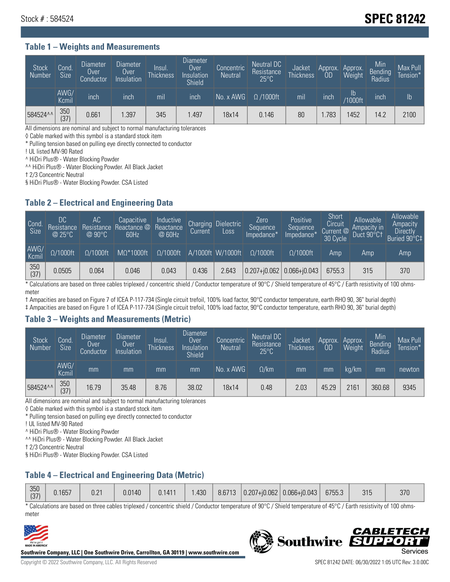## Stock # : 584524 **SPEC 81242**

#### **Table 1 – Weights and Measurements**

| <b>Stock</b><br>Number | Cond.<br>Size | <b>Diameter</b><br>Over<br>Conductor | Diameter<br>Over<br>Insulation | Insul.<br><b>Thickness</b> | <b>Diameter</b><br>Over<br>Insulation<br>Shield | Concentric<br><b>Neutral</b> | <b>Neutral DC</b><br>Resistance<br>$25^{\circ}$ C | Jacket<br><b>Thickness</b> | Approx.<br>0D | Approx.<br>Weight | Min<br>Bending<br>Radius | Max Pull<br>Tension* |
|------------------------|---------------|--------------------------------------|--------------------------------|----------------------------|-------------------------------------------------|------------------------------|---------------------------------------------------|----------------------------|---------------|-------------------|--------------------------|----------------------|
|                        | AWG/<br>Kcmil | inch                                 | inch                           | mil                        | inch                                            | $No. x$ AWG                  | $\Omega$ /1000ft                                  | mil                        | inch          | lb<br>/1000ft     | <b>Inch</b>              | Ib                   |
| 584524^^               | 350<br>(37)   | 0.661                                | .397                           | 345                        | .497                                            | 18x14                        | 0.146                                             | 80                         | .783          | 1452              | 14.2                     | 2100                 |

All dimensions are nominal and subject to normal manufacturing tolerances

◊ Cable marked with this symbol is a standard stock item

\* Pulling tension based on pulling eye directly connected to conductor

! UL listed MV-90 Rated

^ HiDri Plus® - Water Blocking Powder

^^ HiDri Plus® - Water Blocking Powder. All Black Jacket

† 2/3 Concentric Neutral

§ HiDri Plus® - Water Blocking Powder. CSA Listed

#### **Table 2 – Electrical and Engineering Data**

| Cond.<br>Size | 'DC<br>Resistance<br>@25°C | АC<br>Resistance<br>$\varpi$ 90°C | Capacitive<br>Reactance @<br>60Hz | Inductive<br>Reactance<br>@ 60Hz | <b>Charging</b><br>Current | <b>Dielectric</b><br>Loss | Zero<br>Sequence<br>Impedance* | Positive<br>Sequence<br>Impedance <sup>+</sup> | Short<br>Circuit<br>Current <sup>@</sup><br>30 Cycle | Allowable<br>Ampacity in<br>Duct 90°C† | Allowable<br>Ampacity<br>Directly<br>Buried 90°C‡ |
|---------------|----------------------------|-----------------------------------|-----------------------------------|----------------------------------|----------------------------|---------------------------|--------------------------------|------------------------------------------------|------------------------------------------------------|----------------------------------------|---------------------------------------------------|
| AWG/<br>Kcmil | $\Omega/1000$ ft           | $\Omega/1000$ ft                  | $M\Omega^*1000$ ft                | $\Omega/1000$ ft                 |                            | A/1000ft W/1000ft         | $\Omega/1000$ ft               | $\Omega$ /1000ft                               | Amp                                                  | Amp                                    | Amp                                               |
| 350<br>(37)   | 0.0505                     | 0.064                             | 0.046                             | 0.043                            | 0.436                      | 2.643                     |                                | $0.207 + 0.062$ 0.066+ $0.043$                 | 6755.3                                               | 315                                    | 370                                               |

\* Calculations are based on three cables triplexed / concentric shield / Conductor temperature of 90°C / Shield temperature of 45°C / Earth resistivity of 100 ohmsmeter

† Ampacities are based on Figure 7 of ICEA P-117-734 (Single circuit trefoil, 100% load factor, 90°C conductor temperature, earth RHO 90, 36" burial depth)

‡ Ampacities are based on Figure 1 of ICEA P-117-734 (Single circuit trefoil, 100% load factor, 90°C conductor temperature, earth RHO 90, 36" burial depth)

#### **Table 3 – Weights and Measurements (Metric)**

| <b>Stock</b><br>Number | Cond.<br>Size | <b>Diameter</b><br>Over<br>Conductor | Diameter<br>Over<br>Insulation | Insul.<br><b>Thickness</b> | Diameter<br>Over<br>Insulation<br><b>Shield</b> | Concentric<br><b>Neutral</b> | Neutral DC<br>Resistance<br>$25^{\circ}$ C | Jacket<br><b>Thickness</b> | Approx.<br>0 <sub>D</sub> | Approx.<br>Weight | Min<br>Bending<br>Radius | Max Pull<br>Tension* |
|------------------------|---------------|--------------------------------------|--------------------------------|----------------------------|-------------------------------------------------|------------------------------|--------------------------------------------|----------------------------|---------------------------|-------------------|--------------------------|----------------------|
|                        | AWG/<br>Kcmil | mm                                   | mm                             | mm                         | mm                                              | No. x AWG                    | $\Omega$ /km                               | mm                         | mm                        | ka/km             | mm                       | newton               |
| 584524^^               | 350<br>(37)   | 16.79                                | 35.48                          | 8.76                       | 38.02                                           | 18x14                        | 0.48                                       | 2.03                       | 45.29                     | 2161              | 360.68                   | 9345                 |

All dimensions are nominal and subject to normal manufacturing tolerances

◊ Cable marked with this symbol is a standard stock item

\* Pulling tension based on pulling eye directly connected to conductor

! UL listed MV-90 Rated

^ HiDri Plus® - Water Blocking Powder

^^ HiDri Plus® - Water Blocking Powder. All Black Jacket

† 2/3 Concentric Neutral

§ HiDri Plus® - Water Blocking Powder. CSA Listed

## **Table 4 – Electrical and Engineering Data (Metric)**

| 350<br>(27)<br>$131+$ | 0.1657 | 0.21 | 0.0140 | 0.1411 | .430 | 8.6713 | $ 0.207 + i0.062 $ | $ 0.066 + i0.043 $ | 6755.3 | 315 | 370 |
|-----------------------|--------|------|--------|--------|------|--------|--------------------|--------------------|--------|-----|-----|
|-----------------------|--------|------|--------|--------|------|--------|--------------------|--------------------|--------|-----|-----|

\* Calculations are based on three cables triplexed / concentric shield / Conductor temperature of 90°C / Shield temperature of 45°C / Earth resistivity of 100 ohmsmeter



**Southwire Company, LLC | One Southwire Drive, Carrollton, GA 30119 | www.southwire.com**